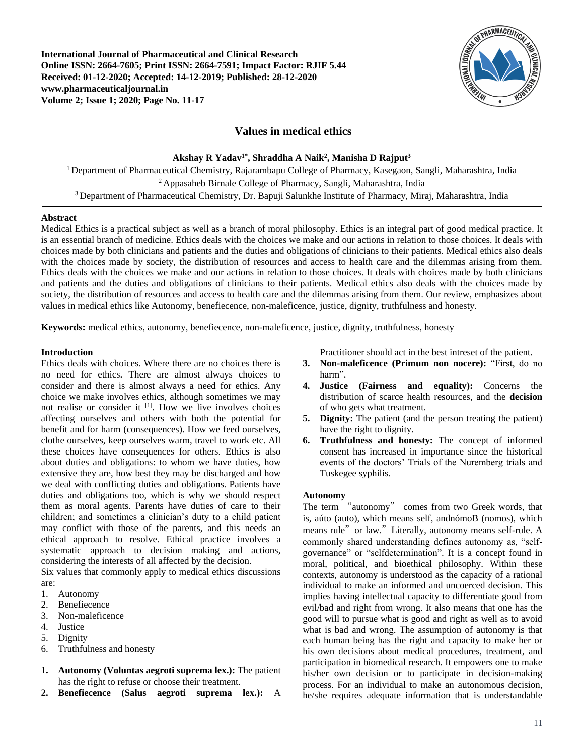**International Journal of Pharmaceutical and Clinical Research Online ISSN: 2664-7605; Print ISSN: 2664-7591; Impact Factor: RJIF 5.44 Received: 01-12-2020; Accepted: 14-12-2019; Published: 28-12-2020 www.pharmaceuticaljournal.in Volume 2; Issue 1; 2020; Page No. 11-17**



# **Values in medical ethics**

**Akshay R Yadav1\* , Shraddha A Naik<sup>2</sup> , Manisha D Rajput<sup>3</sup>**

<sup>1</sup> Department of Pharmaceutical Chemistry, Rajarambapu College of Pharmacy, Kasegaon, Sangli, Maharashtra, India <sup>2</sup> Appasaheb Birnale College of Pharmacy, Sangli, Maharashtra, India <sup>3</sup> Department of Pharmaceutical Chemistry, Dr. Bapuji Salunkhe Institute of Pharmacy, Miraj, Maharashtra, India

# **Abstract**

Medical Ethics is a practical subject as well as a branch of moral philosophy. Ethics is an integral part of good medical practice. It is an essential branch of medicine. Ethics deals with the choices we make and our actions in relation to those choices. It deals with choices made by both clinicians and patients and the duties and obligations of clinicians to their patients. Medical ethics also deals with the choices made by society, the distribution of resources and access to health care and the dilemmas arising from them. Ethics deals with the choices we make and our actions in relation to those choices. It deals with choices made by both clinicians and patients and the duties and obligations of clinicians to their patients. Medical ethics also deals with the choices made by society, the distribution of resources and access to health care and the dilemmas arising from them. Our review, emphasizes about values in medical ethics like Autonomy, benefiecence, non-maleficence, justice, dignity, truthfulness and honesty.

**Keywords:** medical ethics, autonomy, benefiecence, non-maleficence, justice, dignity, truthfulness, honesty

# **Introduction**

Ethics deals with choices. Where there are no choices there is no need for ethics. There are almost always choices to consider and there is almost always a need for ethics. Any choice we make involves ethics, although sometimes we may not realise or consider it <sup>[1]</sup>. How we live involves choices affecting ourselves and others with both the potential for benefit and for harm (consequences). How we feed ourselves, clothe ourselves, keep ourselves warm, travel to work etc. All these choices have consequences for others. Ethics is also about duties and obligations: to whom we have duties, how extensive they are, how best they may be discharged and how we deal with conflicting duties and obligations. Patients have duties and obligations too, which is why we should respect them as moral agents. Parents have duties of care to their children; and sometimes a clinician's duty to a child patient may conflict with those of the parents, and this needs an ethical approach to resolve. Ethical practice involves a systematic approach to decision making and actions, considering the interests of all affected by the decision.

Six values that commonly apply to medical ethics discussions are:

- 1. Autonomy
- 2. Benefiecence
- 3. Non-maleficence
- 4. Justice
- 5. Dignity
- 6. Truthfulness and honesty
- **1. Autonomy (Voluntas aegroti suprema lex.):** The patient has the right to refuse or choose their treatment.
- **2. Benefiecence (Salus aegroti suprema lex.):** A

Practitioner should act in the best intreset of the patient.

- **3. Non-maleficence (Primum non nocere):** "First, do no harm".
- **4. Justice (Fairness and equality):** Concerns the distribution of scarce health resources, and the **decision**  of who gets what treatment.
- **5. Dignity:** The patient (and the person treating the patient) have the right to dignity.
- **6. Truthfulness and honesty:** The concept of informed consent has increased in importance since the historical events of the doctors' Trials of the Nuremberg trials and Tuskegee syphilis.

### **Autonomy**

The term "autonomy" comes from two Greek words, that is, aúto (auto), which means self, andnómoB (nomos), which means rule" or law." Literally, autonomy means self-rule. A commonly shared understanding defines autonomy as, "selfgovernance" or "selfdetermination". It is a concept found in moral, political, and bioethical philosophy. Within these contexts, autonomy is understood as the capacity of a rational individual to make an informed and uncoerced decision. This implies having intellectual capacity to differentiate good from evil/bad and right from wrong. It also means that one has the good will to pursue what is good and right as well as to avoid what is bad and wrong. The assumption of autonomy is that each human being has the right and capacity to make her or his own decisions about medical procedures, treatment, and participation in biomedical research. It empowers one to make his/her own decision or to participate in decision-making process. For an individual to make an autonomous decision, he/she requires adequate information that is understandable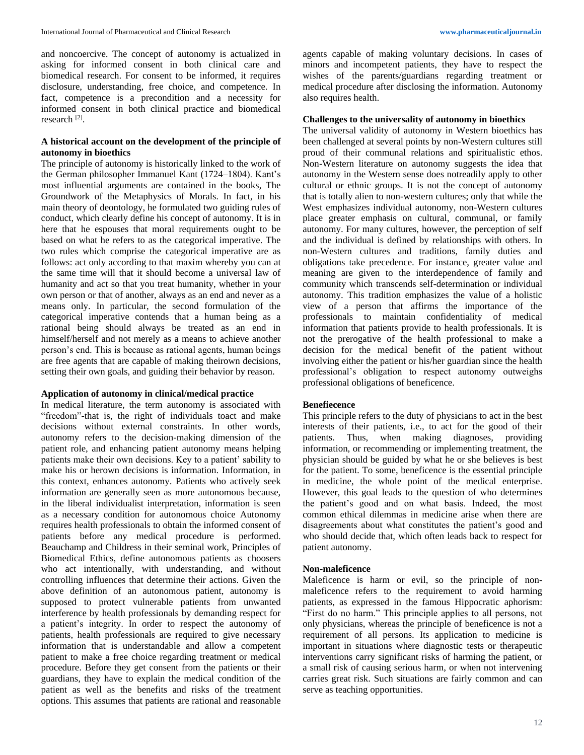and noncoercive. The concept of autonomy is actualized in asking for informed consent in both clinical care and biomedical research. For consent to be informed, it requires disclosure, understanding, free choice, and competence. In fact, competence is a precondition and a necessity for informed consent in both clinical practice and biomedical research [2] .

# **A historical account on the development of the principle of autonomy in bioethics**

The principle of autonomy is historically linked to the work of the German philosopher Immanuel Kant (1724–1804). Kant's most influential arguments are contained in the books, The Groundwork of the Metaphysics of Morals. In fact, in his main theory of deontology, he formulated two guiding rules of conduct, which clearly define his concept of autonomy. It is in here that he espouses that moral requirements ought to be based on what he refers to as the categorical imperative. The two rules which comprise the categorical imperative are as follows: act only according to that maxim whereby you can at the same time will that it should become a universal law of humanity and act so that you treat humanity, whether in your own person or that of another, always as an end and never as a means only. In particular, the second formulation of the categorical imperative contends that a human being as a rational being should always be treated as an end in himself/herself and not merely as a means to achieve another person's end. This is because as rational agents, human beings are free agents that are capable of making theirown decisions, setting their own goals, and guiding their behavior by reason.

# **Application of autonomy in clinical/medical practice**

In medical literature, the term autonomy is associated with "freedom"-that is, the right of individuals toact and make decisions without external constraints. In other words, autonomy refers to the decision-making dimension of the patient role, and enhancing patient autonomy means helping patients make their own decisions. Key to a patient' sability to make his or herown decisions is information. Information, in this context, enhances autonomy. Patients who actively seek information are generally seen as more autonomous because, in the liberal individualist interpretation, information is seen as a necessary condition for autonomous choice Autonomy requires health professionals to obtain the informed consent of patients before any medical procedure is performed. Beauchamp and Childress in their seminal work, Principles of Biomedical Ethics, define autonomous patients as choosers who act intentionally, with understanding, and without controlling influences that determine their actions. Given the above definition of an autonomous patient, autonomy is supposed to protect vulnerable patients from unwanted interference by health professionals by demanding respect for a patient's integrity. In order to respect the autonomy of patients, health professionals are required to give necessary information that is understandable and allow a competent patient to make a free choice regarding treatment or medical procedure. Before they get consent from the patients or their guardians, they have to explain the medical condition of the patient as well as the benefits and risks of the treatment options. This assumes that patients are rational and reasonable

agents capable of making voluntary decisions. In cases of minors and incompetent patients, they have to respect the wishes of the parents/guardians regarding treatment or medical procedure after disclosing the information. Autonomy also requires health.

# **Challenges to the universality of autonomy in bioethics**

The universal validity of autonomy in Western bioethics has been challenged at several points by non-Western cultures still proud of their communal relations and spiritualistic ethos. Non-Western literature on autonomy suggests the idea that autonomy in the Western sense does notreadily apply to other cultural or ethnic groups. It is not the concept of autonomy that is totally alien to non-western cultures; only that while the West emphasizes individual autonomy, non-Western cultures place greater emphasis on cultural, communal, or family autonomy. For many cultures, however, the perception of self and the individual is defined by relationships with others. In non-Western cultures and traditions, family duties and obligations take precedence. For instance, greater value and meaning are given to the interdependence of family and community which transcends self-determination or individual autonomy. This tradition emphasizes the value of a holistic view of a person that affirms the importance of the professionals to maintain confidentiality of medical information that patients provide to health professionals. It is not the prerogative of the health professional to make a decision for the medical benefit of the patient without involving either the patient or his/her guardian since the health professional's obligation to respect autonomy outweighs professional obligations of beneficence.

# **Benefiecence**

This principle refers to the duty of physicians to act in the best interests of their patients, i.e., to act for the good of their patients. Thus, when making diagnoses, providing information, or recommending or implementing treatment, the physician should be guided by what he or she believes is best for the patient. To some, beneficence is the essential principle in medicine, the whole point of the medical enterprise. However, this goal leads to the question of who determines the patient's good and on what basis. Indeed, the most common ethical dilemmas in medicine arise when there are disagreements about what constitutes the patient's good and who should decide that, which often leads back to respect for patient autonomy.

# **Non-maleficence**

Maleficence is harm or evil, so the principle of nonmaleficence refers to the requirement to avoid harming patients, as expressed in the famous Hippocratic aphorism: "First do no harm." This principle applies to all persons, not only physicians, whereas the principle of beneficence is not a requirement of all persons. Its application to medicine is important in situations where diagnostic tests or therapeutic interventions carry significant risks of harming the patient, or a small risk of causing serious harm, or when not intervening carries great risk. Such situations are fairly common and can serve as teaching opportunities.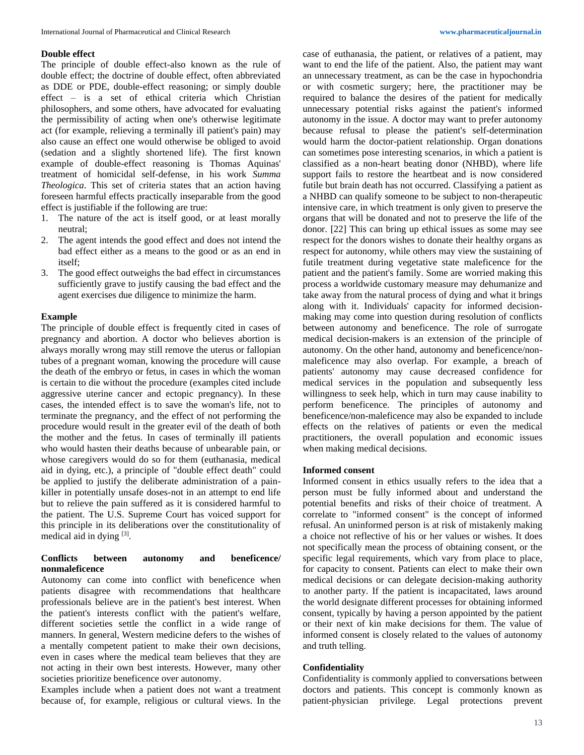#### **Double effect**

The principle of double effect-also known as the rule of double effect; the doctrine of double effect, often abbreviated as DDE or PDE, double-effect reasoning; or simply double effect – is a set of ethical criteria which Christian philosophers, and some others, have advocated for evaluating the permissibility of acting when one's otherwise legitimate act (for example, relieving a terminally ill patient's pain) may also cause an effect one would otherwise be obliged to avoid (sedation and a slightly shortened life). The first known example of double-effect reasoning is Thomas Aquinas' treatment of homicidal self-defense, in his work *Summa Theologica*. This set of criteria states that an action having foreseen harmful effects practically inseparable from the good effect is justifiable if the following are true:

- 1. The nature of the act is itself good, or at least morally neutral;
- 2. The agent intends the good effect and does not intend the bad effect either as a means to the good or as an end in itself;
- 3. The good effect outweighs the bad effect in circumstances sufficiently grave to justify causing the bad effect and the agent exercises due diligence to minimize the harm.

#### **Example**

The principle of double effect is frequently cited in cases of pregnancy and abortion. A doctor who believes abortion is always morally wrong may still remove the uterus or fallopian tubes of a pregnant woman, knowing the procedure will cause the death of the embryo or fetus, in cases in which the woman is certain to die without the procedure (examples cited include aggressive uterine cancer and ectopic pregnancy). In these cases, the intended effect is to save the woman's life, not to terminate the pregnancy, and the effect of not performing the procedure would result in the greater evil of the death of both the mother and the fetus. In cases of terminally ill patients who would hasten their deaths because of unbearable pain, or whose caregivers would do so for them (euthanasia, medical aid in dying, etc.), a principle of "double effect death" could be applied to justify the deliberate administration of a painkiller in potentially unsafe doses-not in an attempt to end life but to relieve the pain suffered as it is considered harmful to the patient. The U.S. Supreme Court has voiced support for this principle in its deliberations over the constitutionality of medical aid in dying  $[3]$ .

### **Conflicts between autonomy and beneficence/ nonmaleficence**

Autonomy can come into conflict with beneficence when patients disagree with recommendations that healthcare professionals believe are in the patient's best interest. When the patient's interests conflict with the patient's welfare, different societies settle the conflict in a wide range of manners. In general, Western medicine defers to the wishes of a mentally competent patient to make their own decisions, even in cases where the medical team believes that they are not acting in their own best interests. However, many other societies prioritize beneficence over autonomy.

Examples include when a patient does not want a treatment because of, for example, religious or cultural views. In the case of euthanasia, the patient, or relatives of a patient, may want to end the life of the patient. Also, the patient may want an unnecessary treatment, as can be the case in hypochondria or with cosmetic surgery; here, the practitioner may be required to balance the desires of the patient for medically unnecessary potential risks against the patient's informed autonomy in the issue. A doctor may want to prefer autonomy because refusal to please the patient's self-determination would harm the doctor-patient relationship. Organ donations can sometimes pose interesting scenarios, in which a patient is classified as a non-heart beating donor (NHBD), where life support fails to restore the heartbeat and is now considered futile but brain death has not occurred. Classifying a patient as a NHBD can qualify someone to be subject to non-therapeutic intensive care, in which treatment is only given to preserve the organs that will be donated and not to preserve the life of the donor. [22] This can bring up ethical issues as some may see respect for the donors wishes to donate their healthy organs as respect for autonomy, while others may view the sustaining of futile treatment during vegetative state maleficence for the patient and the patient's family. Some are worried making this process a worldwide customary measure may dehumanize and take away from the natural process of dying and what it brings along with it. Individuals' capacity for informed decisionmaking may come into question during resolution of conflicts between autonomy and beneficence. The role of surrogate medical decision-makers is an extension of the principle of autonomy. On the other hand, autonomy and beneficence/nonmaleficence may also overlap. For example, a breach of patients' autonomy may cause decreased confidence for medical services in the population and subsequently less willingness to seek help, which in turn may cause inability to perform beneficence. The principles of autonomy and beneficence/non-maleficence may also be expanded to include effects on the relatives of patients or even the medical practitioners, the overall population and economic issues when making medical decisions.

### **Informed consent**

Informed consent in ethics usually refers to the idea that a person must be fully informed about and understand the potential benefits and risks of their choice of treatment. A correlate to "informed consent" is the concept of informed refusal. An uninformed person is at risk of mistakenly making a choice not reflective of his or her values or wishes. It does not specifically mean the process of obtaining consent, or the specific legal requirements, which vary from place to place, for capacity to consent. Patients can elect to make their own medical decisions or can delegate decision-making authority to another party. If the patient is incapacitated, laws around the world designate different processes for obtaining informed consent, typically by having a person appointed by the patient or their next of kin make decisions for them. The value of informed consent is closely related to the values of autonomy and truth telling.

#### **Confidentiality**

Confidentiality is commonly applied to conversations between doctors and patients. This concept is commonly known as patient-physician privilege. Legal protections prevent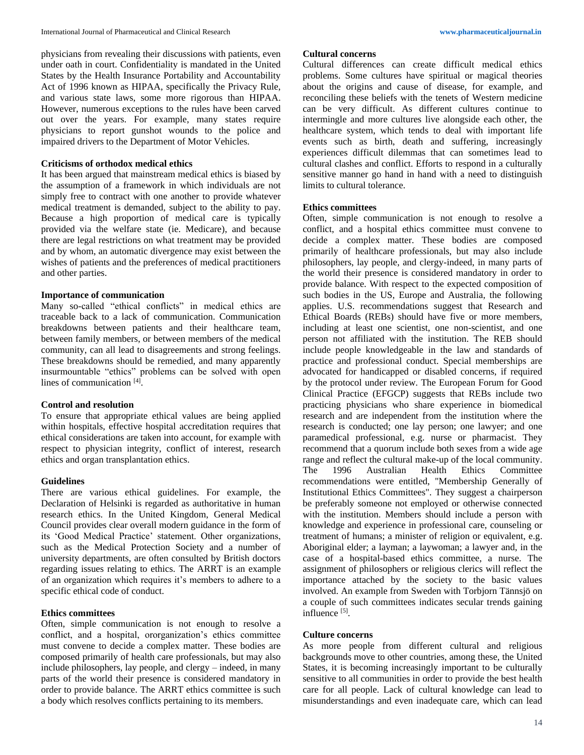physicians from revealing their discussions with patients, even under oath in court. Confidentiality is mandated in the United States by the Health Insurance Portability and Accountability Act of 1996 known as HIPAA, specifically the Privacy Rule, and various state laws, some more rigorous than HIPAA. However, numerous exceptions to the rules have been carved out over the years. For example, many states require physicians to report gunshot wounds to the police and impaired drivers to the Department of Motor Vehicles.

### **Criticisms of orthodox medical ethics**

It has been argued that mainstream medical ethics is biased by the assumption of a framework in which individuals are not simply free to contract with one another to provide whatever medical treatment is demanded, subject to the ability to pay. Because a high proportion of medical care is typically provided via the welfare state (ie. Medicare), and because there are legal restrictions on what treatment may be provided and by whom, an automatic divergence may exist between the wishes of patients and the preferences of medical practitioners and other parties.

#### **Importance of communication**

Many so-called "ethical conflicts" in medical ethics are traceable back to a lack of communication. Communication breakdowns between patients and their healthcare team, between family members, or between members of the medical community, can all lead to disagreements and strong feelings. These breakdowns should be remedied, and many apparently insurmountable "ethics" problems can be solved with open lines of communication [4].

#### **Control and resolution**

To ensure that appropriate ethical values are being applied within hospitals, effective hospital accreditation requires that ethical considerations are taken into account, for example with respect to physician integrity, conflict of interest, research ethics and organ transplantation ethics.

#### **Guidelines**

There are various ethical guidelines. For example, the Declaration of Helsinki is regarded as authoritative in human research ethics. In the United Kingdom, General Medical Council provides clear overall modern guidance in the form of its 'Good Medical Practice' statement. Other organizations, such as the Medical Protection Society and a number of university departments, are often consulted by British doctors regarding issues relating to ethics. The ARRT is an example of an organization which requires it's members to adhere to a specific ethical code of conduct.

# **Ethics committees**

Often, simple communication is not enough to resolve a conflict, and a hospital, ororganization's ethics committee must convene to decide a complex matter. These bodies are composed primarily of health care professionals, but may also include philosophers, lay people, and clergy – indeed, in many parts of the world their presence is considered mandatory in order to provide balance. The ARRT ethics committee is such a body which resolves conflicts pertaining to its members.

# **Cultural concerns**

Cultural differences can create difficult medical ethics problems. Some cultures have spiritual or magical theories about the origins and cause of disease, for example, and reconciling these beliefs with the tenets of Western medicine can be very difficult. As different cultures continue to intermingle and more cultures live alongside each other, the healthcare system, which tends to deal with important life events such as birth, death and suffering, increasingly experiences difficult dilemmas that can sometimes lead to cultural clashes and conflict. Efforts to respond in a culturally sensitive manner go hand in hand with a need to distinguish limits to cultural tolerance.

### **Ethics committees**

Often, simple communication is not enough to resolve a conflict, and a hospital ethics committee must convene to decide a complex matter. These bodies are composed primarily of healthcare professionals, but may also include philosophers, lay people, and clergy-indeed, in many parts of the world their presence is considered mandatory in order to provide balance. With respect to the expected composition of such bodies in the US, Europe and Australia, the following applies. U.S. recommendations suggest that Research and Ethical Boards (REBs) should have five or more members, including at least one scientist, one non-scientist, and one person not affiliated with the institution. The REB should include people knowledgeable in the law and standards of practice and professional conduct. Special memberships are advocated for handicapped or disabled concerns, if required by the protocol under review. The European Forum for Good Clinical Practice (EFGCP) suggests that REBs include two practicing physicians who share experience in biomedical research and are independent from the institution where the research is conducted; one lay person; one lawyer; and one paramedical professional, e.g. nurse or pharmacist. They recommend that a quorum include both sexes from a wide age range and reflect the cultural make-up of the local community. The 1996 Australian Health Ethics Committee recommendations were entitled, "Membership Generally of Institutional Ethics Committees". They suggest a chairperson be preferably someone not employed or otherwise connected with the institution. Members should include a person with knowledge and experience in professional care, counseling or treatment of humans; a minister of religion or equivalent, e.g. Aboriginal elder; a layman; a laywoman; a lawyer and, in the case of a hospital-based ethics committee, a nurse. The assignment of philosophers or religious clerics will reflect the importance attached by the society to the basic values involved. An example from Sweden with Torbjorn Tännsjö on a couple of such committees indicates secular trends gaining influence [5].

#### **Culture concerns**

As more people from different cultural and religious backgrounds move to other countries, among these, the United States, it is becoming increasingly important to be culturally sensitive to all communities in order to provide the best health care for all people. Lack of cultural knowledge can lead to misunderstandings and even inadequate care, which can lead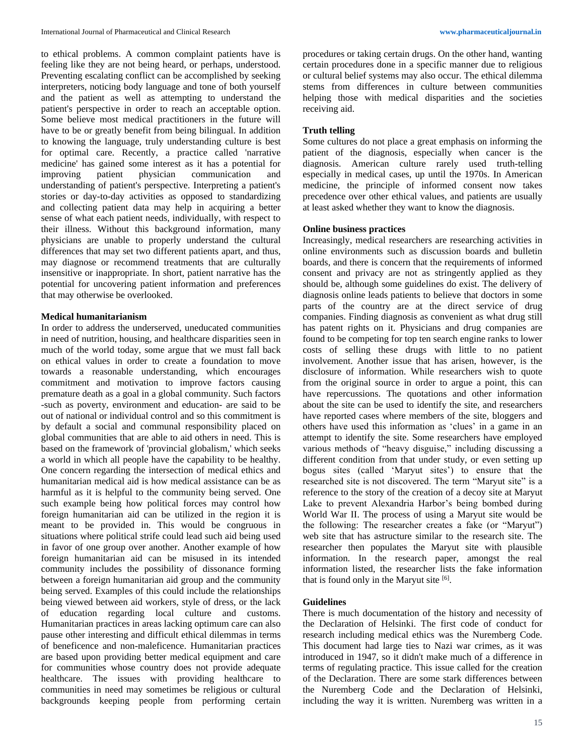to ethical problems. A common complaint patients have is feeling like they are not being heard, or perhaps, understood. Preventing escalating conflict can be accomplished by seeking interpreters, noticing body language and tone of both yourself and the patient as well as attempting to understand the patient's perspective in order to reach an acceptable option. Some believe most medical practitioners in the future will have to be or greatly benefit from being bilingual. In addition to knowing the language, truly understanding culture is best for optimal care. Recently, a practice called 'narrative medicine' has gained some interest as it has a potential for improving patient physician communication and understanding of patient's perspective. Interpreting a patient's stories or day-to-day activities as opposed to standardizing and collecting patient data may help in acquiring a better sense of what each patient needs, individually, with respect to their illness. Without this background information, many physicians are unable to properly understand the cultural differences that may set two different patients apart, and thus, may diagnose or recommend treatments that are culturally insensitive or inappropriate. In short, patient narrative has the potential for uncovering patient information and preferences that may otherwise be overlooked.

# **Medical humanitarianism**

In order to address the underserved, uneducated communities in need of nutrition, housing, and healthcare disparities seen in much of the world today, some argue that we must fall back on ethical values in order to create a foundation to move towards a reasonable understanding, which encourages commitment and motivation to improve factors causing premature death as a goal in a global community. Such factors -such as poverty, environment and education- are said to be out of national or individual control and so this commitment is by default a social and communal responsibility placed on global communities that are able to aid others in need. This is based on the framework of 'provincial globalism,' which seeks a world in which all people have the capability to be healthy. One concern regarding the intersection of medical ethics and humanitarian medical aid is how medical assistance can be as harmful as it is helpful to the community being served. One such example being how political forces may control how foreign humanitarian aid can be utilized in the region it is meant to be provided in. This would be congruous in situations where political strife could lead such aid being used in favor of one group over another. Another example of how foreign humanitarian aid can be misused in its intended community includes the possibility of dissonance forming between a foreign humanitarian aid group and the community being served. Examples of this could include the relationships being viewed between aid workers, style of dress, or the lack of education regarding local culture and customs. Humanitarian practices in areas lacking optimum care can also pause other interesting and difficult ethical dilemmas in terms of beneficence and non-maleficence. Humanitarian practices are based upon providing better medical equipment and care for communities whose country does not provide adequate healthcare. The issues with providing healthcare to communities in need may sometimes be religious or cultural backgrounds keeping people from performing certain

procedures or taking certain drugs. On the other hand, wanting certain procedures done in a specific manner due to religious or cultural belief systems may also occur. The ethical dilemma stems from differences in culture between communities helping those with medical disparities and the societies receiving aid.

# **Truth telling**

Some cultures do not place a great emphasis on informing the patient of the diagnosis, especially when cancer is the diagnosis. American culture rarely used truth-telling especially in medical cases, up until the 1970s. In American medicine, the principle of informed consent now takes precedence over other ethical values, and patients are usually at least asked whether they want to know the diagnosis.

# **Online business practices**

Increasingly, medical researchers are researching activities in online environments such as discussion boards and bulletin boards, and there is concern that the requirements of informed consent and privacy are not as stringently applied as they should be, although some guidelines do exist. The delivery of diagnosis online leads patients to believe that doctors in some parts of the country are at the direct service of drug companies. Finding diagnosis as convenient as what drug still has patent rights on it. Physicians and drug companies are found to be competing for top ten search engine ranks to lower costs of selling these drugs with little to no patient involvement. Another issue that has arisen, however, is the disclosure of information. While researchers wish to quote from the original source in order to argue a point, this can have repercussions. The quotations and other information about the site can be used to identify the site, and researchers have reported cases where members of the site, bloggers and others have used this information as 'clues' in a game in an attempt to identify the site. Some researchers have employed various methods of "heavy disguise," including discussing a different condition from that under study, or even setting up bogus sites (called 'Maryut sites') to ensure that the researched site is not discovered. The term "Maryut site" is a reference to the story of the creation of a decoy site at Maryut Lake to prevent Alexandria Harbor's being bombed during World War II. The process of using a Maryut site would be the following: The researcher creates a fake (or "Maryut") web site that has astructure similar to the research site. The researcher then populates the Maryut site with plausible information. In the research paper, amongst the real information listed, the researcher lists the fake information that is found only in the Maryut site  $[6]$ .

# **Guidelines**

There is much documentation of the history and necessity of the Declaration of Helsinki. The first code of conduct for research including medical ethics was the Nuremberg Code. This document had large ties to Nazi war crimes, as it was introduced in 1947, so it didn't make much of a difference in terms of regulating practice. This issue called for the creation of the Declaration. There are some stark differences between the Nuremberg Code and the Declaration of Helsinki, including the way it is written. Nuremberg was written in a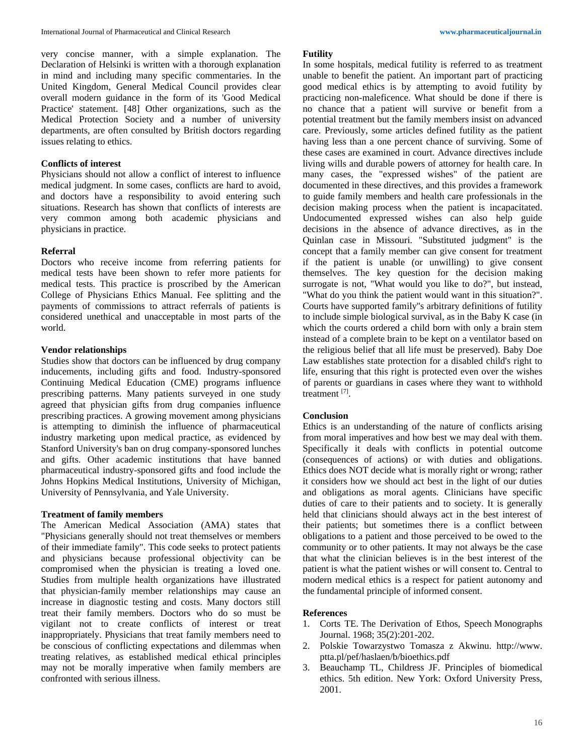very concise manner, with a simple explanation. The Declaration of Helsinki is written with a thorough explanation in mind and including many specific commentaries. In the United Kingdom, General Medical Council provides clear overall modern guidance in the form of its 'Good Medical Practice' statement. [48] Other organizations, such as the Medical Protection Society and a number of university departments, are often consulted by British doctors regarding issues relating to ethics.

### **Conflicts of interest**

Physicians should not allow a conflict of interest to influence medical judgment. In some cases, conflicts are hard to avoid, and doctors have a responsibility to avoid entering such situations. Research has shown that conflicts of interests are very common among both academic physicians and physicians in practice.

# **Referral**

Doctors who receive income from referring patients for medical tests have been shown to refer more patients for medical tests. This practice is proscribed by the American College of Physicians Ethics Manual. Fee splitting and the payments of commissions to attract referrals of patients is considered unethical and unacceptable in most parts of the world.

#### **Vendor relationships**

Studies show that doctors can be influenced by drug company inducements, including gifts and food. Industry-sponsored Continuing Medical Education (CME) programs influence prescribing patterns. Many patients surveyed in one study agreed that physician gifts from drug companies influence prescribing practices. A growing movement among physicians is attempting to diminish the influence of pharmaceutical industry marketing upon medical practice, as evidenced by Stanford University's ban on drug company-sponsored lunches and gifts. Other academic institutions that have banned pharmaceutical industry-sponsored gifts and food include the Johns Hopkins Medical Institutions, University of Michigan, University of Pennsylvania, and Yale University.

# **Treatment of family members**

The American Medical Association (AMA) states that "Physicians generally should not treat themselves or members of their immediate family". This code seeks to protect patients and physicians because professional objectivity can be compromised when the physician is treating a loved one. Studies from multiple health organizations have illustrated that physician-family member relationships may cause an increase in diagnostic testing and costs. Many doctors still treat their family members. Doctors who do so must be vigilant not to create conflicts of interest or treat inappropriately. Physicians that treat family members need to be conscious of conflicting expectations and dilemmas when treating relatives, as established medical ethical principles may not be morally imperative when family members are confronted with serious illness.

#### **Futility**

In some hospitals, medical futility is referred to as treatment unable to benefit the patient. An important part of practicing good medical ethics is by attempting to avoid futility by practicing non-maleficence. What should be done if there is no chance that a patient will survive or benefit from a potential treatment but the family members insist on advanced care. Previously, some articles defined futility as the patient having less than a one percent chance of surviving. Some of these cases are examined in court. Advance directives include living wills and durable powers of attorney for health care. In many cases, the "expressed wishes" of the patient are documented in these directives, and this provides a framework to guide family members and health care professionals in the decision making process when the patient is incapacitated. Undocumented expressed wishes can also help guide decisions in the absence of advance directives, as in the Quinlan case in Missouri. "Substituted judgment" is the concept that a family member can give consent for treatment if the patient is unable (or unwilling) to give consent themselves. The key question for the decision making surrogate is not, "What would you like to do?", but instead, "What do you think the patient would want in this situation?". Courts have supported family''s arbitrary definitions of futility to include simple biological survival, as in the Baby K case (in which the courts ordered a child born with only a brain stem instead of a complete brain to be kept on a ventilator based on the religious belief that all life must be preserved). Baby Doe Law establishes state protection for a disabled child's right to life, ensuring that this right is protected even over the wishes of parents or guardians in cases where they want to withhold treatment [7] .

#### **Conclusion**

Ethics is an understanding of the nature of conflicts arising from moral imperatives and how best we may deal with them. Specifically it deals with conflicts in potential outcome (consequences of actions) or with duties and obligations. Ethics does NOT decide what is morally right or wrong; rather it considers how we should act best in the light of our duties and obligations as moral agents. Clinicians have specific duties of care to their patients and to society. It is generally held that clinicians should always act in the best interest of their patients; but sometimes there is a conflict between obligations to a patient and those perceived to be owed to the community or to other patients. It may not always be the case that what the clinician believes is in the best interest of the patient is what the patient wishes or will consent to. Central to modern medical ethics is a respect for patient autonomy and the fundamental principle of informed consent.

### **References**

- 1. Corts TE. The Derivation of Ethos, Speech Monographs Journal. 1968; 35(2):201-202.
- 2. Polskie Towarzystwo Tomasza z Akwinu. http://www. ptta.pl/pef/haslaen/b/bioethics.pdf
- 3. Beauchamp TL, Childress JF. Principles of biomedical ethics. 5th edition. New York: Oxford University Press, 2001.